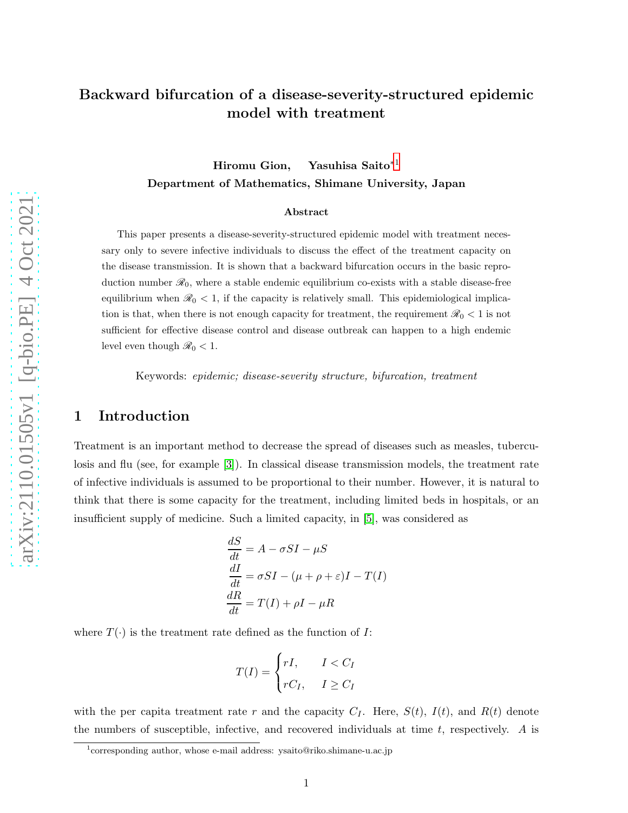# Backward bifurcation of a disease-severity-structured epidemic model with treatment

## Hiromu Gion, Yasuhisa Saito∗[1](#page-0-0) Department of Mathematics, Shimane University, Japan

#### Abstract

This paper presents a disease-severity-structured epidemic model with treatment necessary only to severe infective individuals to discuss the effect of the treatment capacity on the disease transmission. It is shown that a backward bifurcation occurs in the basic reproduction number  $\mathcal{R}_0$ , where a stable endemic equilibrium co-exists with a stable disease-free equilibrium when  $\mathcal{R}_0$  < 1, if the capacity is relatively small. This epidemiological implication is that, when there is not enough capacity for treatment, the requirement  $\mathcal{R}_0 < 1$  is not sufficient for effective disease control and disease outbreak can happen to a high endemic level even though  $\mathcal{R}_0 < 1$ .

Keywords: epidemic; disease-severity structure, bifurcation, treatment

#### 1 Introduction

Treatment is an important method to decrease the spread of diseases such as measles, tuberculosis and flu (see, for example [\[3\]](#page-12-0)). In classical disease transmission models, the treatment rate of infective individuals is assumed to be proportional to their number. However, it is natural to think that there is some capacity for the treatment, including limited beds in hospitals, or an insufficient supply of medicine. Such a limited capacity, in [\[5\]](#page-12-1), was considered as

$$
\frac{dS}{dt} = A - \sigma SI - \mu S
$$

$$
\frac{dI}{dt} = \sigma SI - (\mu + \rho + \varepsilon)I - T(I)
$$

$$
\frac{dR}{dt} = T(I) + \rho I - \mu R
$$

where  $T(\cdot)$  is the treatment rate defined as the function of I:

$$
T(I) = \begin{cases} rI, & I < C_I \\ rC_I, & I \ge C_I \end{cases}
$$

with the per capita treatment rate r and the capacity  $C_I$ . Here,  $S(t)$ ,  $I(t)$ , and  $R(t)$  denote the numbers of susceptible, infective, and recovered individuals at time  $t$ , respectively. A is

<span id="page-0-0"></span><sup>&</sup>lt;sup>1</sup>corresponding author, whose e-mail address: ysaito@riko.shimane-u.ac.jp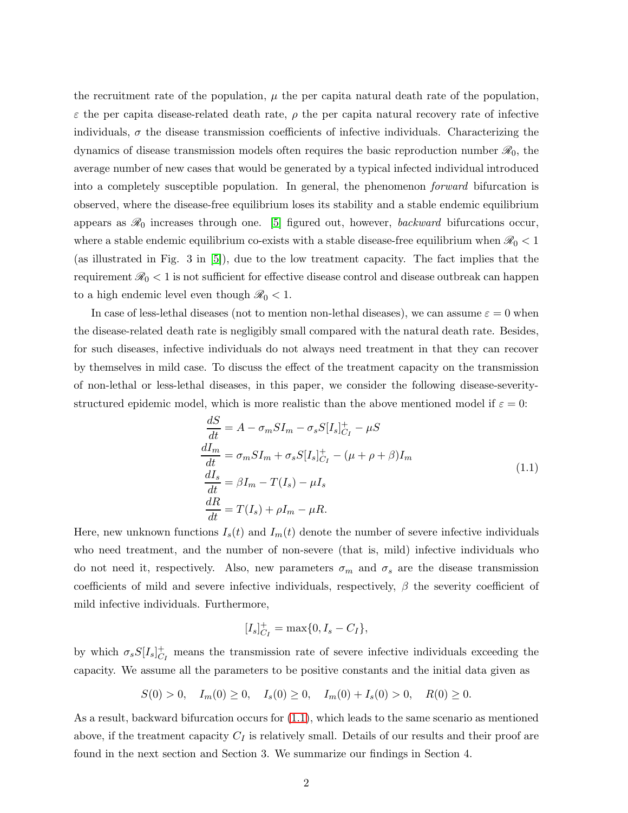the recruitment rate of the population,  $\mu$  the per capita natural death rate of the population,  $\varepsilon$  the per capita disease-related death rate,  $\rho$  the per capita natural recovery rate of infective individuals,  $\sigma$  the disease transmission coefficients of infective individuals. Characterizing the dynamics of disease transmission models often requires the basic reproduction number  $\mathscr{R}_0$ , the average number of new cases that would be generated by a typical infected individual introduced into a completely susceptible population. In general, the phenomenon forward bifurcation is observed, where the disease-free equilibrium loses its stability and a stable endemic equilibrium appears as  $\mathcal{R}_0$  increases through one. [\[5\]](#page-12-1) figured out, however, *backward* bifurcations occur, where a stable endemic equilibrium co-exists with a stable disease-free equilibrium when  $\mathcal{R}_0 < 1$ (as illustrated in Fig. 3 in [\[5\]](#page-12-1)), due to the low treatment capacity. The fact implies that the requirement  $\mathcal{R}_0 < 1$  is not sufficient for effective disease control and disease outbreak can happen to a high endemic level even though  $\mathcal{R}_0 < 1$ .

In case of less-lethal diseases (not to mention non-lethal diseases), we can assume  $\varepsilon = 0$  when the disease-related death rate is negligibly small compared with the natural death rate. Besides, for such diseases, infective individuals do not always need treatment in that they can recover by themselves in mild case. To discuss the effect of the treatment capacity on the transmission of non-lethal or less-lethal diseases, in this paper, we consider the following disease-severitystructured epidemic model, which is more realistic than the above mentioned model if  $\varepsilon = 0$ :

<span id="page-1-0"></span>
$$
\frac{dS}{dt} = A - \sigma_m SI_m - \sigma_s S[I_s]_{C_I}^+ - \mu S
$$
\n
$$
\frac{dI_m}{dt} = \sigma_m SI_m + \sigma_s S[I_s]_{C_I}^+ - (\mu + \rho + \beta)I_m
$$
\n
$$
\frac{dI_s}{dt} = \beta I_m - T(I_s) - \mu I_s
$$
\n
$$
\frac{dR}{dt} = T(I_s) + \rho I_m - \mu R.
$$
\n(1.1)

Here, new unknown functions  $I_s(t)$  and  $I_m(t)$  denote the number of severe infective individuals who need treatment, and the number of non-severe (that is, mild) infective individuals who do not need it, respectively. Also, new parameters  $\sigma_m$  and  $\sigma_s$  are the disease transmission coefficients of mild and severe infective individuals, respectively,  $\beta$  the severity coefficient of mild infective individuals. Furthermore,

$$
[I_s]_{C_I}^+ = \max\{0, I_s - C_I\},\
$$

by which  $\sigma_s S[I_s]_{C_I}^+$  means the transmission rate of severe infective individuals exceeding the capacity. We assume all the parameters to be positive constants and the initial data given as

$$
S(0) > 0, \quad I_m(0) \ge 0, \quad I_s(0) \ge 0, \quad I_m(0) + I_s(0) > 0, \quad R(0) \ge 0.
$$

As a result, backward bifurcation occurs for [\(1.1\)](#page-1-0), which leads to the same scenario as mentioned above, if the treatment capacity  $C_I$  is relatively small. Details of our results and their proof are found in the next section and Section 3. We summarize our findings in Section 4.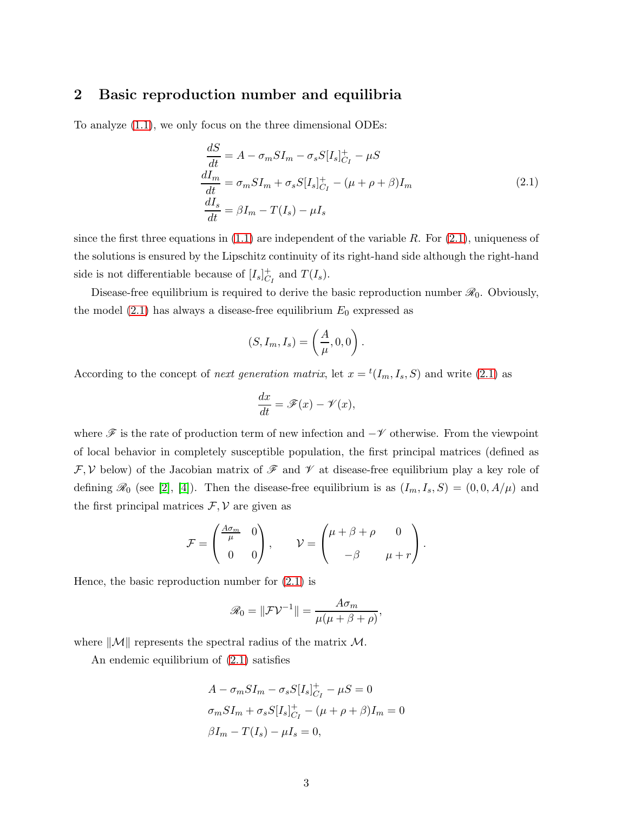### 2 Basic reproduction number and equilibria

To analyze [\(1.1\)](#page-1-0), we only focus on the three dimensional ODEs:

<span id="page-2-0"></span>
$$
\frac{dS}{dt} = A - \sigma_m SI_m - \sigma_s S[I_s]_{C_I}^+ - \mu S
$$
\n
$$
\frac{dI_m}{dt} = \sigma_m SI_m + \sigma_s S[I_s]_{C_I}^+ - (\mu + \rho + \beta)I_m
$$
\n
$$
\frac{dI_s}{dt} = \beta I_m - T(I_s) - \mu I_s
$$
\n(2.1)

since the first three equations in  $(1.1)$  are independent of the variable R. For  $(2.1)$ , uniqueness of the solutions is ensured by the Lipschitz continuity of its right-hand side although the right-hand side is not differentiable because of  $[I_s]_{C_I}^+$  and  $T(I_s)$ .

Disease-free equilibrium is required to derive the basic reproduction number  $\mathcal{R}_0$ . Obviously, the model  $(2.1)$  has always a disease-free equilibrium  $E_0$  expressed as

$$
(S, I_m, I_s) = \left(\frac{A}{\mu}, 0, 0\right).
$$

According to the concept of *next generation matrix*, let  $x = {}^{t}(I_m, I_s, S)$  and write [\(2.1\)](#page-2-0) as

$$
\frac{dx}{dt} = \mathscr{F}(x) - \mathscr{V}(x),
$$

where  $\mathscr F$  is the rate of production term of new infection and  $-\mathscr V$  otherwise. From the viewpoint of local behavior in completely susceptible population, the first principal matrices (defined as  $\mathcal{F}, \mathcal{V}$  below) of the Jacobian matrix of  $\mathcal F$  and  $\mathcal V$  at disease-free equilibrium play a key role of defining  $\mathscr{R}_0$  (see [\[2\]](#page-12-2), [\[4\]](#page-12-3)). Then the disease-free equilibrium is as  $(I_m, I_s, S) = (0, 0, A/\mu)$  and the first principal matrices  $\mathcal{F}, \mathcal{V}$  are given as

$$
\mathcal{F} = \begin{pmatrix} \frac{A\sigma_m}{\mu} & 0 \\ 0 & 0 \end{pmatrix}, \qquad \mathcal{V} = \begin{pmatrix} \mu + \beta + \rho & 0 \\ -\beta & \mu + r \end{pmatrix}.
$$

Hence, the basic reproduction number for [\(2.1\)](#page-2-0) is

$$
\mathscr{R}_0 = \|\mathcal{F} \mathcal{V}^{-1}\| = \frac{A\sigma_m}{\mu(\mu + \beta + \rho)},
$$

where  $\|\mathcal{M}\|$  represents the spectral radius of the matrix  $\mathcal{M}$ .

An endemic equilibrium of [\(2.1\)](#page-2-0) satisfies

$$
A - \sigma_m SI_m - \sigma_s S[I_s]_{C_I}^+ - \mu S = 0
$$
  

$$
\sigma_m SI_m + \sigma_s S[I_s]_{C_I}^+ - (\mu + \rho + \beta)I_m = 0
$$
  

$$
\beta I_m - T(I_s) - \mu I_s = 0,
$$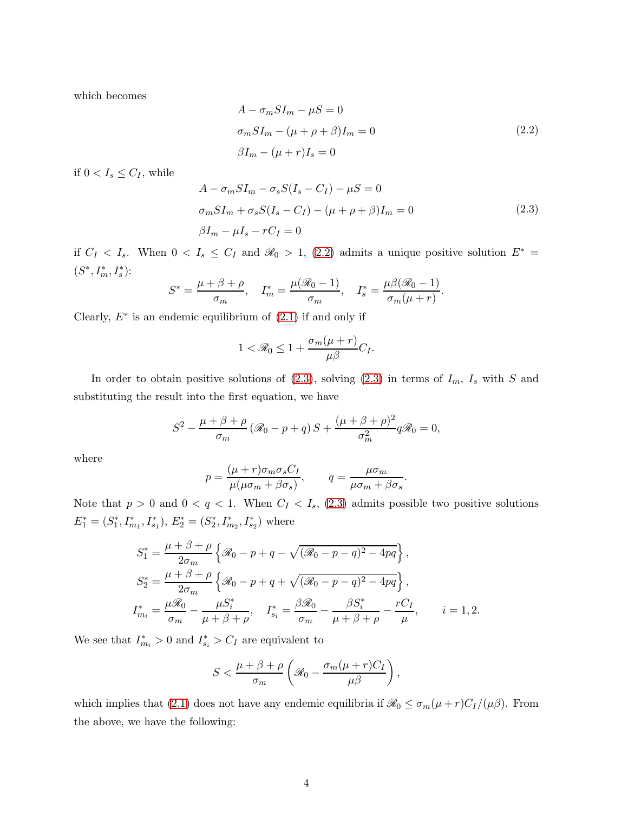which becomes

<span id="page-3-0"></span>
$$
A - \sigma_m S I_m - \mu S = 0
$$
  
\n
$$
\sigma_m S I_m - (\mu + \rho + \beta) I_m = 0
$$
  
\n
$$
\beta I_m - (\mu + r) I_s = 0
$$
\n(2.2)

if  $0 < I_s \leq C_I$ , while

<span id="page-3-1"></span>
$$
A - \sigma_m SI_m - \sigma_s S(I_s - C_I) - \mu S = 0
$$
  
\n
$$
\sigma_m SI_m + \sigma_s S(I_s - C_I) - (\mu + \rho + \beta)I_m = 0
$$
  
\n
$$
\beta I_m - \mu I_s - rC_I = 0
$$
\n(2.3)

if  $C_I < I_s$ . When  $0 < I_s \le C_I$  and  $\mathcal{R}_0 > 1$ , [\(2.2\)](#page-3-0) admits a unique positive solution  $E^* =$  $(S^*, I_m^*, I_s^*)$ :

$$
S^* = \frac{\mu + \beta + \rho}{\sigma_m}, \quad I_m^* = \frac{\mu(\mathcal{R}_0 - 1)}{\sigma_m}, \quad I_s^* = \frac{\mu\beta(\mathcal{R}_0 - 1)}{\sigma_m(\mu + r)}.
$$

Clearly,  $E^*$  is an endemic equilibrium of  $(2.1)$  if and only if

$$
1 < \mathcal{R}_0 \le 1 + \frac{\sigma_m(\mu + r)}{\mu \beta} C_I.
$$

In order to obtain positive solutions of  $(2.3)$ , solving  $(2.3)$  in terms of  $I_m$ ,  $I_s$  with S and substituting the result into the first equation, we have

$$
S^{2} - \frac{\mu + \beta + \rho}{\sigma_{m}} (\mathcal{R}_{0} - p + q) S + \frac{(\mu + \beta + \rho)^{2}}{\sigma_{m}^{2}} q \mathcal{R}_{0} = 0,
$$

where

$$
p = \frac{(\mu + r)\sigma_m \sigma_s C_I}{\mu(\mu \sigma_m + \beta \sigma_s)}, \qquad q = \frac{\mu \sigma_m}{\mu \sigma_m + \beta \sigma_s}.
$$

Note that  $p > 0$  and  $0 < q < 1$ . When  $C_I < I_s$ , [\(2.3\)](#page-3-1) admits possible two positive solutions  $E_1^* = (S_1^*$  $I_1^*, I_{m_1}^*, I_{s_1}^*$ ),  $E_2^* = (S_2^*)$  $I_{2}^{*}, I_{m_2}^{*}, I_{s_2}^{*}$ ) where

$$
S_1^* = \frac{\mu + \beta + \rho}{2\sigma_m} \left\{ \mathcal{R}_0 - p + q - \sqrt{(\mathcal{R}_0 - p - q)^2 - 4pq} \right\},
$$
  
\n
$$
S_2^* = \frac{\mu + \beta + \rho}{2\sigma_m} \left\{ \mathcal{R}_0 - p + q + \sqrt{(\mathcal{R}_0 - p - q)^2 - 4pq} \right\},
$$
  
\n
$$
I_{m_i}^* = \frac{\mu \mathcal{R}_0}{\sigma_m} - \frac{\mu S_i^*}{\mu + \beta + \rho}, \quad I_{s_i}^* = \frac{\beta \mathcal{R}_0}{\sigma_m} - \frac{\beta S_i^*}{\mu + \beta + \rho} - \frac{rC_I}{\mu}, \quad i = 1, 2.
$$

We see that  $I_{m_i}^* > 0$  and  $I_{s_i}^* > C_I$  are equivalent to

$$
S<\frac{\mu+\beta+\rho}{\sigma_m}\left(\mathcal{R}_0-\frac{\sigma_m(\mu+r)C_I}{\mu\beta}\right),\,
$$

which implies that [\(2.1\)](#page-2-0) does not have any endemic equilibria if  $\mathcal{R}_0 \leq \sigma_m(\mu + r)C_I/(\mu\beta)$ . From the above, we have the following: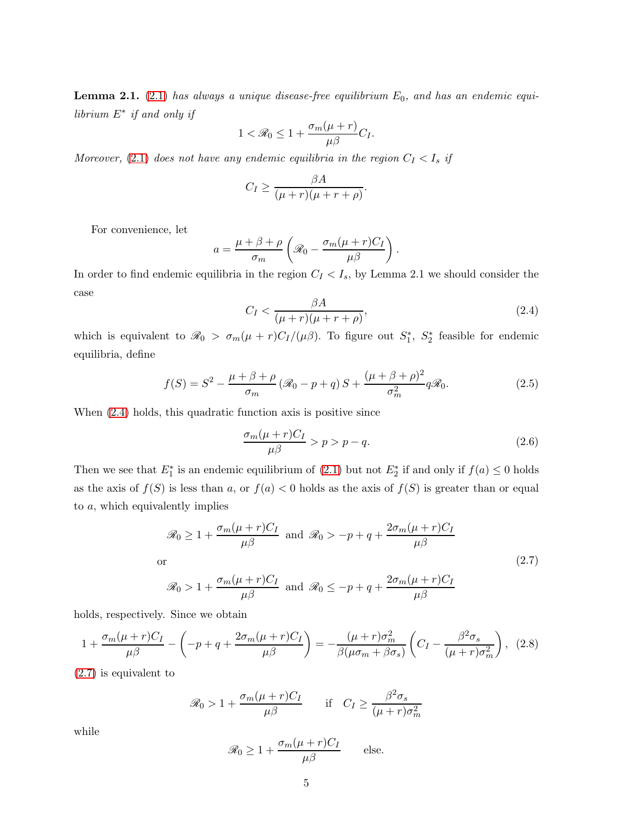**Lemma 2.1.** [\(2.1\)](#page-2-0) has always a unique disease-free equilibrium  $E_0$ , and has an endemic equi $librium E^*$  if and only if

$$
1 < \mathcal{R}_0 \leq 1 + \frac{\sigma_m(\mu + r)}{\mu \beta} C_I.
$$

Moreover, [\(2.1\)](#page-2-0) does not have any endemic equilibria in the region  $C_I < I_s$  if

$$
C_I \ge \frac{\beta A}{(\mu + r)(\mu + r + \rho)}.
$$

For convenience, let

$$
a = \frac{\mu + \beta + \rho}{\sigma_m} \left( \mathcal{R}_0 - \frac{\sigma_m(\mu + r)C_I}{\mu \beta} \right).
$$

In order to find endemic equilibria in the region  $C_I < I_s$ , by Lemma 2.1 we should consider the case

<span id="page-4-0"></span>
$$
C_I < \frac{\beta A}{(\mu + r)(\mu + r + \rho)},\tag{2.4}
$$

which is equivalent to  $\mathcal{R}_0 > \sigma_m(\mu + r)C_I/(\mu\beta)$ . To figure out  $S_1^*$  $S_1^*, S_2^*$ 2 feasible for endemic equilibria, define

<span id="page-4-4"></span>
$$
f(S) = S2 - \frac{\mu + \beta + \rho}{\sigma_m} (\mathcal{R}_0 - p + q) S + \frac{(\mu + \beta + \rho)^2}{\sigma_m^2} q \mathcal{R}_0.
$$
 (2.5)

When [\(2.4\)](#page-4-0) holds, this quadratic function axis is positive since

<span id="page-4-2"></span>
$$
\frac{\sigma_m(\mu+r)C_I}{\mu\beta} > p > p - q. \tag{2.6}
$$

Then we see that  $E_1^*$  is an endemic equilibrium of [\(2.1\)](#page-2-0) but not  $E_2^*$  if and only if  $f(a) \leq 0$  holds as the axis of  $f(S)$  is less than a, or  $f(a) < 0$  holds as the axis of  $f(S)$  is greater than or equal to a, which equivalently implies

<span id="page-4-1"></span>
$$
\mathcal{R}_0 \ge 1 + \frac{\sigma_m(\mu + r)C_I}{\mu \beta} \text{ and } \mathcal{R}_0 > -p + q + \frac{2\sigma_m(\mu + r)C_I}{\mu \beta}
$$
  
or  

$$
\mathcal{R}_0 > 1 + \frac{\sigma_m(\mu + r)C_I}{\mu \beta} \text{ and } \mathcal{R}_0 \le -p + q + \frac{2\sigma_m(\mu + r)C_I}{\mu \beta}
$$
 (2.7)

holds, respectively. Since we obtain

<span id="page-4-3"></span>
$$
1 + \frac{\sigma_m(\mu + r)C_I}{\mu \beta} - \left(-p + q + \frac{2\sigma_m(\mu + r)C_I}{\mu \beta}\right) = -\frac{(\mu + r)\sigma_m^2}{\beta(\mu \sigma_m + \beta \sigma_s)} \left(C_I - \frac{\beta^2 \sigma_s}{(\mu + r)\sigma_m^2}\right), \tag{2.8}
$$

[\(2.7\)](#page-4-1) is equivalent to

$$
\mathcal{R}_0 > 1 + \frac{\sigma_m(\mu + r)C_I}{\mu \beta} \qquad \text{if} \quad C_I \ge \frac{\beta^2 \sigma_s}{(\mu + r)\sigma_m^2}
$$

while

$$
\mathcal{R}_0 \ge 1 + \frac{\sigma_m(\mu + r)C_I}{\mu \beta} \quad \text{else.}
$$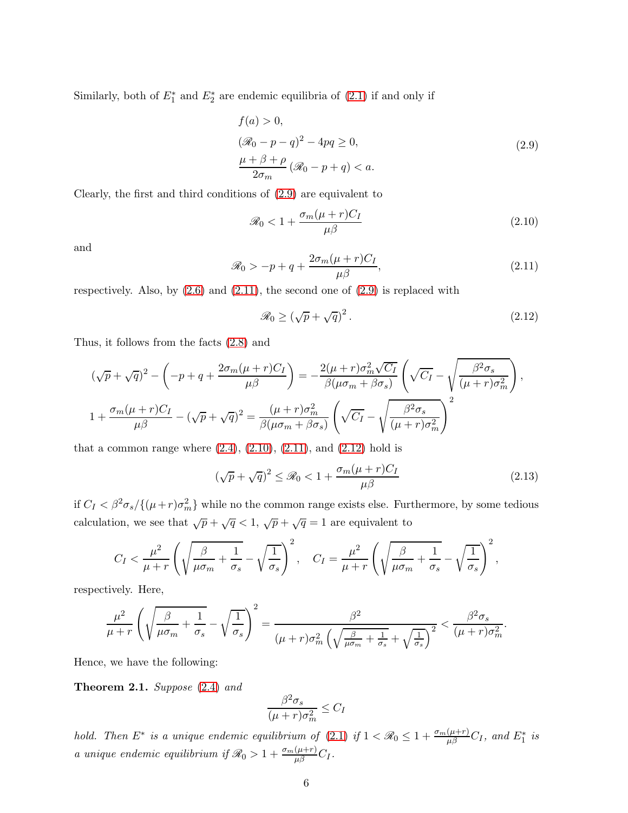Similarly, both of  $E_1^*$  and  $E_2^*$  are endemic equilibria of  $(2.1)$  if and only if

<span id="page-5-0"></span>
$$
f(a) > 0,
$$
  
\n
$$
(\mathcal{R}_0 - p - q)^2 - 4pq \ge 0,
$$
  
\n
$$
\frac{\mu + \beta + \rho}{2\sigma_m} (\mathcal{R}_0 - p + q) < a.
$$
\n(2.9)

Clearly, the first and third conditions of [\(2.9\)](#page-5-0) are equivalent to

<span id="page-5-2"></span>
$$
\mathcal{R}_0 < 1 + \frac{\sigma_m(\mu + r)C_I}{\mu \beta} \tag{2.10}
$$

and

<span id="page-5-1"></span>
$$
\mathcal{R}_0 > -p + q + \frac{2\sigma_m(\mu + r)C_I}{\mu \beta},\tag{2.11}
$$

respectively. Also, by  $(2.6)$  and  $(2.11)$ , the second one of  $(2.9)$  is replaced with

<span id="page-5-3"></span>
$$
\mathcal{R}_0 \ge (\sqrt{p} + \sqrt{q})^2. \tag{2.12}
$$

Thus, it follows from the facts [\(2.8\)](#page-4-3) and

$$
(\sqrt{p} + \sqrt{q})^2 - \left(-p + q + \frac{2\sigma_m(\mu + r)C_I}{\mu\beta}\right) = -\frac{2(\mu + r)\sigma_m^2\sqrt{C_I}}{\beta(\mu\sigma_m + \beta\sigma_s)} \left(\sqrt{C_I} - \sqrt{\frac{\beta^2\sigma_s}{(\mu + r)\sigma_m^2}}\right),
$$
  

$$
1 + \frac{\sigma_m(\mu + r)C_I}{\mu\beta} - (\sqrt{p} + \sqrt{q})^2 = \frac{(\mu + r)\sigma_m^2}{\beta(\mu\sigma_m + \beta\sigma_s)} \left(\sqrt{C_I} - \sqrt{\frac{\beta^2\sigma_s}{(\mu + r)\sigma_m^2}}\right)^2
$$

that a common range where  $(2.4)$ ,  $(2.10)$ ,  $(2.11)$ , and  $(2.12)$  hold is

$$
(\sqrt{p} + \sqrt{q})^2 \le \mathcal{R}_0 < 1 + \frac{\sigma_m(\mu + r)C_I}{\mu \beta} \tag{2.13}
$$

if  $C_I < \beta^2 \sigma_s / \{(\mu + r) \sigma_m^2\}$  while no the common range exists else. Furthermore, by some tedious calculation, we see that  $\sqrt{p} + \sqrt{q} < 1$ ,  $\sqrt{p} + \sqrt{q} = 1$  are equivalent to

$$
C_I < \frac{\mu^2}{\mu + r} \left( \sqrt{\frac{\beta}{\mu \sigma_m} + \frac{1}{\sigma_s}} - \sqrt{\frac{1}{\sigma_s}} \right)^2, \quad C_I = \frac{\mu^2}{\mu + r} \left( \sqrt{\frac{\beta}{\mu \sigma_m} + \frac{1}{\sigma_s}} - \sqrt{\frac{1}{\sigma_s}} \right)^2,
$$

respectively. Here,

$$
\frac{\mu^2}{\mu+r} \left( \sqrt{\frac{\beta}{\mu \sigma_m} + \frac{1}{\sigma_s}} - \sqrt{\frac{1}{\sigma_s}} \right)^2 = \frac{\beta^2}{(\mu+r)\sigma_m^2 \left( \sqrt{\frac{\beta}{\mu \sigma_m} + \frac{1}{\sigma_s}} + \sqrt{\frac{1}{\sigma_s}} \right)^2} < \frac{\beta^2 \sigma_s}{(\mu+r)\sigma_m^2}.
$$

Hence, we have the following:

Theorem 2.1. Suppose [\(2.4\)](#page-4-0) and

$$
\frac{\beta^2 \sigma_s}{(\mu + r)\sigma_m^2} \le C_I
$$

hold. Then  $E^*$  is a unique endemic equilibrium of [\(2.1\)](#page-2-0) if  $1 < \Re_0 \leq 1 + \frac{\sigma_m(\mu+r)}{\mu\beta}C_I$ , and  $E_1^*$  is a unique endemic equilibrium if  $\mathscr{R}_0 > 1 + \frac{\sigma_m(\mu+r)}{\mu \beta} C_I$ .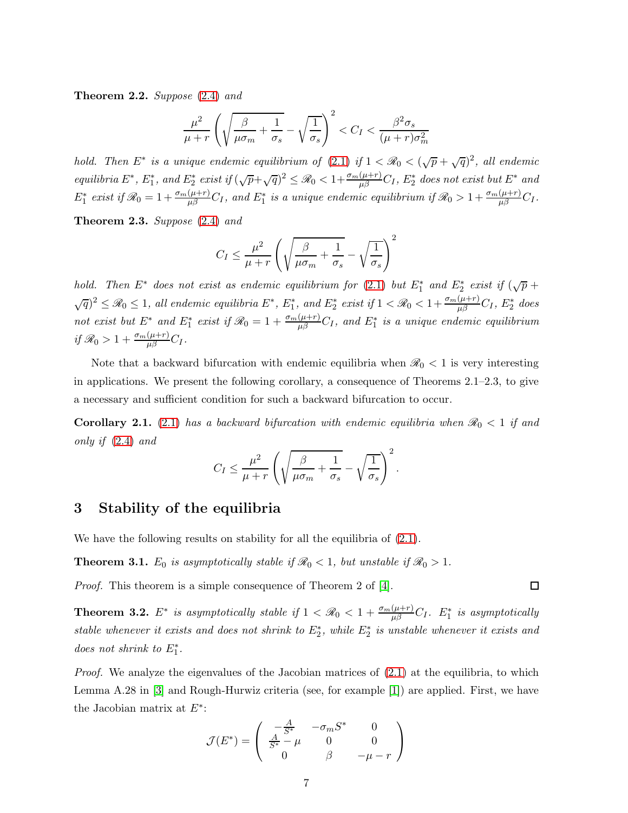**Theorem 2.2.** Suppose  $(2.4)$  and

$$
\frac{\mu^2}{\mu+r} \left( \sqrt{\frac{\beta}{\mu \sigma_m} + \frac{1}{\sigma_s}} - \sqrt{\frac{1}{\sigma_s}} \right)^2 < C_I < \frac{\beta^2 \sigma_s}{(\mu+r)\sigma_m^2}
$$

hold. Then  $E^*$  is a unique endemic equilibrium of [\(2.1\)](#page-2-0) if  $1 < \mathcal{R}_0 < (\sqrt{p} + \sqrt{q})^2$ , all endemic  $\mathit{equilibria}\; E^*,\; E_1^*,\; \mathit{and}\; E_2^*\; \mathit{exist}\; \mathit{if}\; (\sqrt{p}+\sqrt{q})^2\leq \mathscr R_0 < 1+\frac{\sigma_m(\mu+r)}{\mu\beta}C_I,\; E_2^*\; \mathit{does}\; \mathit{not}\; \mathit{exist}\; \mathit{but}\; E^*\; \mathit{and}\; E_3^*\; \mathit{but}\; \mathit{not}\; \mathit{not}\; \mathit{not}\; \mathit{not}\; \mathit{not}\; \mathit{not}\; \mathit{not}\; \mathit{not}\; \mathit{not}\; \mathit{not}\; \math$  $E_1^*$  exist if  $\mathscr{R}_0 = 1 + \frac{\sigma_m(\mu+r)}{\mu \beta} C_I$ , and  $E_1^*$  is a unique endemic equilibrium if  $\mathscr{R}_0 > 1 + \frac{\sigma_m(\mu+r)}{\mu \beta} C_I$ .

Theorem 2.3. Suppose [\(2.4\)](#page-4-0) and

$$
C_I \leq \frac{\mu^2}{\mu + r} \left( \sqrt{\frac{\beta}{\mu \sigma_m} + \frac{1}{\sigma_s}} - \sqrt{\frac{1}{\sigma_s}} \right)^2
$$

hold. Then  $E^*$  does not exist as endemic equilibrium for [\(2.1\)](#page-2-0) but  $E_1^*$  and  $E_2^*$  exist if  $(\sqrt{p} +$  $\sqrt{q}$ )<sup>2</sup>  $\leq \mathscr{R}_0 \leq 1$ , all endemic equilibria  $E^*$ ,  $E_1^*$ , and  $E_2^*$  exist if  $1 < \mathscr{R}_0 < 1 + \frac{\sigma_m(\mu+r)}{\mu\beta}C_I$ ,  $E_2^*$  does not exist but  $E^*$  and  $E_1^*$  exist if  $\mathscr{R}_0 = 1 + \frac{\sigma_m(\mu+r)}{\mu \beta} C_I$ , and  $E_1^*$  is a unique endemic equilibrium if  $\mathscr{R}_0 > 1 + \frac{\sigma_m(\mu+r)}{\mu \beta} C_I$ .

Note that a backward bifurcation with endemic equilibria when  $\mathcal{R}_0 < 1$  is very interesting in applications. We present the following corollary, a consequence of Theorems 2.1–2.3, to give a necessary and sufficient condition for such a backward bifurcation to occur.

**Corollary 2.1.** [\(2.1\)](#page-2-0) has a backward bifurcation with endemic equilibria when  $\mathcal{R}_0 < 1$  if and only if [\(2.4\)](#page-4-0) and

$$
C_I \leq \frac{\mu^2}{\mu + r} \left( \sqrt{\frac{\beta}{\mu \sigma_m} + \frac{1}{\sigma_s}} - \sqrt{\frac{1}{\sigma_s}} \right)^2.
$$

#### 3 Stability of the equilibria

We have the following results on stability for all the equilibria of  $(2.1)$ .

**Theorem 3.1.**  $E_0$  is asymptotically stable if  $\mathcal{R}_0 < 1$ , but unstable if  $\mathcal{R}_0 > 1$ .

Proof. This theorem is a simple consequence of Theorem 2 of [\[4\]](#page-12-3).

**Theorem 3.2.**  $E^*$  is asymptotically stable if  $1 < \Re{\theta} < 1 + \frac{\sigma_m(\mu+r)}{\mu\beta}C_I$ .  $E_1^*$  is asymptotically stable whenever it exists and does not shrink to  $E_2^*$ , while  $E_2^*$  is unstable whenever it exists and does not shrink to  $E_1^*$ .

*Proof.* We analyze the eigenvalues of the Jacobian matrices of  $(2.1)$  at the equilibria, to which Lemma A.28 in [\[3\]](#page-12-0) and Rough-Hurwiz criteria (see, for example [\[1\]](#page-12-4)) are applied. First, we have the Jacobian matrix at  $E^*$ :

$$
\mathcal{J}(E^*) = \begin{pmatrix} -\frac{A}{S^*} & -\sigma_m S^* & 0\\ \frac{A}{S^*} - \mu & 0 & 0\\ 0 & \beta & -\mu - r \end{pmatrix}
$$

 $\Box$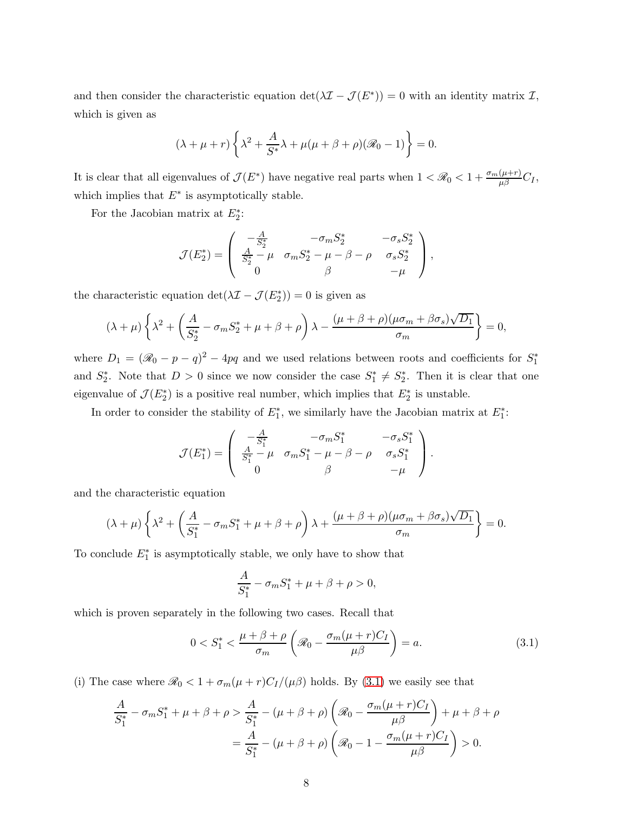and then consider the characteristic equation  $\det(\lambda \mathcal{I} - \mathcal{J}(E^*)) = 0$  with an identity matrix  $\mathcal{I}$ , which is given as

$$
(\lambda + \mu + r) \left\{ \lambda^2 + \frac{A}{S^*} \lambda + \mu(\mu + \beta + \rho)(\mathcal{R}_0 - 1) \right\} = 0.
$$

It is clear that all eigenvalues of  $\mathcal{J}(E^*)$  have negative real parts when  $1 < \mathcal{R}_0 < 1 + \frac{\sigma_m(\mu+r)}{\mu \beta}C_I$ , which implies that  $E^*$  is asymptotically stable.

For the Jacobian matrix at  $E_2^*$ :

$$
\mathcal{J}(E_2^*) = \begin{pmatrix} -\frac{A}{S_2^*} & -\sigma_m S_2^* & -\sigma_s S_2^* \\ \frac{A}{S_2^*} - \mu & \sigma_m S_2^* - \mu - \beta - \rho & \sigma_s S_2^* \\ 0 & \beta & -\mu \end{pmatrix},
$$

the characteristic equation  $\det(\lambda \mathcal{I} - \mathcal{J}(E_2^*)) = 0$  is given as

$$
(\lambda + \mu) \left\{ \lambda^2 + \left( \frac{A}{S_2^*} - \sigma_m S_2^* + \mu + \beta + \rho \right) \lambda - \frac{(\mu + \beta + \rho)(\mu \sigma_m + \beta \sigma_s) \sqrt{D_1}}{\sigma_m} \right\} = 0,
$$

where  $D_1 = (\mathcal{R}_0 - p - q)^2 - 4pq$  and we used relations between roots and coefficients for  $S_1^*$ 1 and  $S_2^*$ <sup>\*</sup><sub>2</sub>. Note that  $D > 0$  since we now consider the case  $S_1^*$  $S_1^* \neq S_2^*$ 2 . Then it is clear that one eigenvalue of  $\mathcal{J}(E_2^*)$  is a positive real number, which implies that  $E_2^*$  is unstable.

In order to consider the stability of  $E_1^*$ , we similarly have the Jacobian matrix at  $E_1^*$ :

$$
\mathcal{J}(E_1^*) = \left( \begin{array}{ccc} -\frac{A}{S_1^*} & -\sigma_m S_1^* & -\sigma_s S_1^* \\ \frac{A}{S_1^*} - \mu & \sigma_m S_1^* - \mu - \beta - \rho & \sigma_s S_1^* \\ 0 & \beta & -\mu \end{array} \right).
$$

and the characteristic equation

$$
(\lambda + \mu) \left\{ \lambda^2 + \left( \frac{A}{S_1^*} - \sigma_m S_1^* + \mu + \beta + \rho \right) \lambda + \frac{(\mu + \beta + \rho)(\mu \sigma_m + \beta \sigma_s) \sqrt{D_1}}{\sigma_m} \right\} = 0.
$$

To conclude  $E_1^*$  is asymptotically stable, we only have to show that

$$
\frac{A}{S_1^*} - \sigma_m S_1^* + \mu + \beta + \rho > 0,
$$

which is proven separately in the following two cases. Recall that

<span id="page-7-0"></span>
$$
0 < S_1^* < \frac{\mu + \beta + \rho}{\sigma_m} \left( \mathcal{R}_0 - \frac{\sigma_m(\mu + r)C_I}{\mu \beta} \right) = a. \tag{3.1}
$$

(i) The case where  $\mathcal{R}_0 < 1 + \sigma_m(\mu + r)C_I/(\mu \beta)$  holds. By [\(3.1\)](#page-7-0) we easily see that

$$
\frac{A}{S_1^*} - \sigma_m S_1^* + \mu + \beta + \rho > \frac{A}{S_1^*} - (\mu + \beta + \rho) \left( \mathcal{R}_0 - \frac{\sigma_m(\mu + r)C_I}{\mu \beta} \right) + \mu + \beta + \rho
$$
\n
$$
= \frac{A}{S_1^*} - (\mu + \beta + \rho) \left( \mathcal{R}_0 - 1 - \frac{\sigma_m(\mu + r)C_I}{\mu \beta} \right) > 0.
$$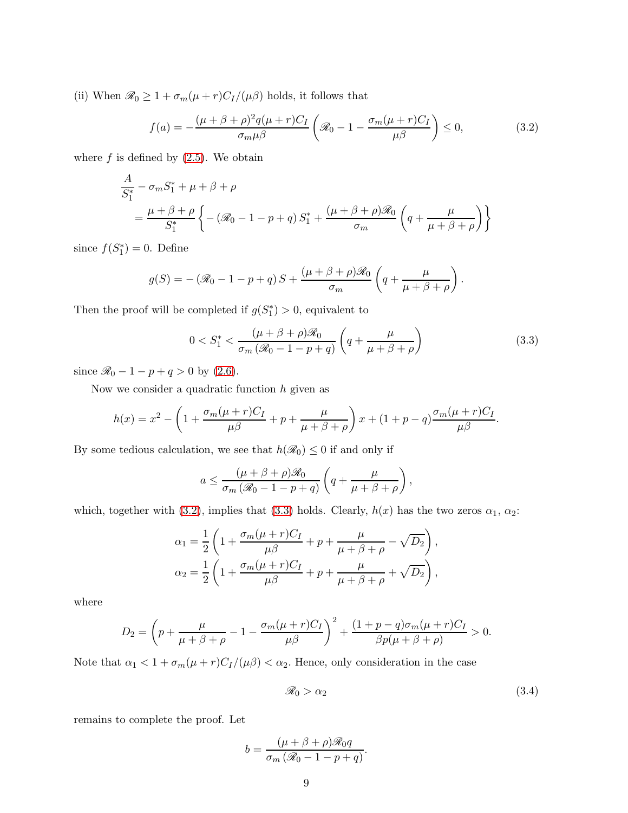(ii) When  $\mathcal{R}_0 \geq 1 + \sigma_m(\mu + r)C_I/(\mu \beta)$  holds, it follows that

<span id="page-8-0"></span>
$$
f(a) = -\frac{(\mu + \beta + \rho)^2 q(\mu + r)C_I}{\sigma_m \mu \beta} \left( \mathcal{R}_0 - 1 - \frac{\sigma_m(\mu + r)C_I}{\mu \beta} \right) \le 0,
$$
 (3.2)

where  $f$  is defined by  $(2.5)$ . We obtain

$$
\frac{A}{S_1^*} - \sigma_m S_1^* + \mu + \beta + \rho
$$
\n
$$
= \frac{\mu + \beta + \rho}{S_1^*} \left\{ -(\mathcal{R}_0 - 1 - p + q) S_1^* + \frac{(\mu + \beta + \rho)\mathcal{R}_0}{\sigma_m} \left( q + \frac{\mu}{\mu + \beta + \rho} \right) \right\}
$$

since  $f(S_1^*)$  $j_{1}^{*}$ ) = 0. Define

$$
g(S) = -(\mathscr{R}_0 - 1 - p + q) S + \frac{(\mu + \beta + \rho)\mathscr{R}_0}{\sigma_m} \left( q + \frac{\mu}{\mu + \beta + \rho} \right).
$$

Then the proof will be completed if  $g(S_1^*)$  $\binom{4}{1}$  > 0, equivalent to

<span id="page-8-1"></span>
$$
0 < S_1^* < \frac{(\mu + \beta + \rho)\mathcal{R}_0}{\sigma_m \left(\mathcal{R}_0 - 1 - p + q\right)} \left(q + \frac{\mu}{\mu + \beta + \rho}\right) \tag{3.3}
$$

since  $\mathcal{R}_0 - 1 - p + q > 0$  by [\(2.6\)](#page-4-2).

Now we consider a quadratic function  $h$  given as

$$
h(x) = x^2 - \left(1 + \frac{\sigma_m(\mu + r)C_I}{\mu \beta} + p + \frac{\mu}{\mu + \beta + \rho}\right)x + (1 + p - q)\frac{\sigma_m(\mu + r)C_I}{\mu \beta}.
$$

By some tedious calculation, we see that  $h(\mathcal{R}_0) \leq 0$  if and only if

$$
a \leq \frac{(\mu + \beta + \rho)\mathcal{R}_0}{\sigma_m (\mathcal{R}_0 - 1 - p + q)} \left( q + \frac{\mu}{\mu + \beta + \rho} \right),
$$

which, together with [\(3.2\)](#page-8-0), implies that [\(3.3\)](#page-8-1) holds. Clearly,  $h(x)$  has the two zeros  $\alpha_1, \alpha_2$ :

$$
\alpha_1 = \frac{1}{2} \left( 1 + \frac{\sigma_m (\mu + r) C_I}{\mu \beta} + p + \frac{\mu}{\mu + \beta + \rho} - \sqrt{D_2} \right),
$$
  

$$
\alpha_2 = \frac{1}{2} \left( 1 + \frac{\sigma_m (\mu + r) C_I}{\mu \beta} + p + \frac{\mu}{\mu + \beta + \rho} + \sqrt{D_2} \right),
$$

where

$$
D_2 = \left(p + \frac{\mu}{\mu + \beta + \rho} - 1 - \frac{\sigma_m(\mu + r)C_I}{\mu \beta}\right)^2 + \frac{(1 + p - q)\sigma_m(\mu + r)C_I}{\beta p(\mu + \beta + \rho)} > 0.
$$

Note that  $\alpha_1 < 1 + \sigma_m(\mu + r)C_I/(\mu\beta) < \alpha_2$ . Hence, only consideration in the case

<span id="page-8-2"></span>
$$
\mathcal{R}_0 > \alpha_2 \tag{3.4}
$$

remains to complete the proof. Let

$$
b = \frac{(\mu + \beta + \rho)\mathcal{R}_0 q}{\sigma_m (\mathcal{R}_0 - 1 - p + q)}.
$$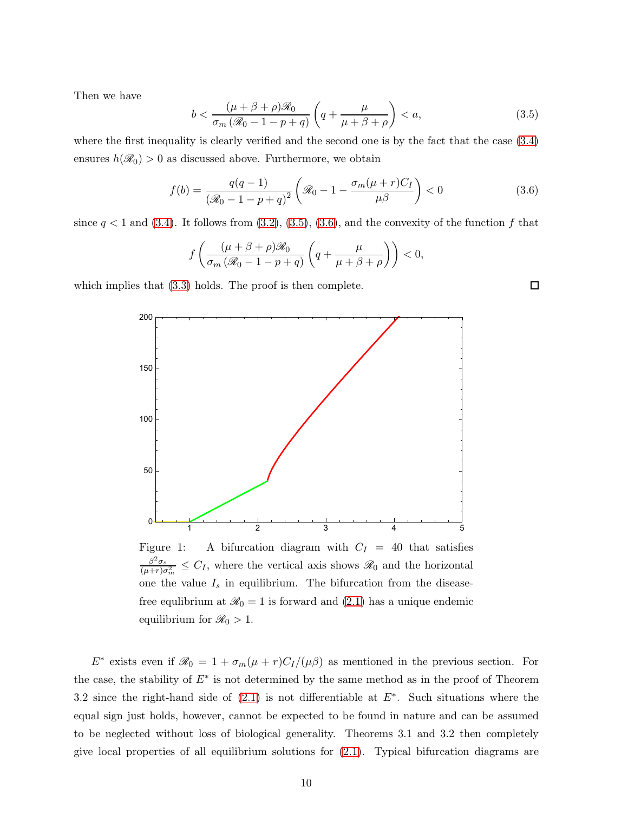Then we have

<span id="page-9-0"></span>
$$
b < \frac{(\mu + \beta + \rho)\mathcal{R}_0}{\sigma_m \left(\mathcal{R}_0 - 1 - p + q\right)} \left(q + \frac{\mu}{\mu + \beta + \rho}\right) < a,\tag{3.5}
$$

where the first inequality is clearly verified and the second one is by the fact that the case [\(3.4\)](#page-8-2) ensures  $h(\mathcal{R}_0) > 0$  as discussed above. Furthermore, we obtain

<span id="page-9-1"></span>
$$
f(b) = \frac{q(q-1)}{(\mathcal{R}_0 - 1 - p + q)^2} \left( \mathcal{R}_0 - 1 - \frac{\sigma_m(\mu + r)C_I}{\mu \beta} \right) < 0 \tag{3.6}
$$

since  $q < 1$  and [\(3.4\)](#page-8-2). It follows from [\(3.2\)](#page-8-0), [\(3.5\)](#page-9-0), [\(3.6\)](#page-9-1), and the convexity of the function f that

$$
f\left(\frac{(\mu+\beta+\rho)\mathcal{R}_0}{\sigma_m(\mathcal{R}_0-1-p+q)}\left(q+\frac{\mu}{\mu+\beta+\rho}\right)\right)<0,
$$

which implies that  $(3.3)$  holds. The proof is then complete.



Figure 1: A bifurcation diagram with  $C_I = 40$  that satisfies  $\beta^2 \sigma_s$  $\frac{\beta^2 \sigma_s}{(\mu + r) \sigma_m^2} \leq C_I$ , where the vertical axis shows  $\mathscr{R}_0$  and the horizontal one the value  $I_s$  in equilibrium. The bifurcation from the diseasefree equlibrium at  $\mathcal{R}_0 = 1$  is forward and [\(2.1\)](#page-2-0) has a unique endemic equilibrium for  $\mathcal{R}_0 > 1$ .

E<sup>\*</sup> exists even if  $\mathscr{R}_0 = 1 + \sigma_m(\mu + r)C_I/(\mu\beta)$  as mentioned in the previous section. For the case, the stability of  $E^*$  is not determined by the same method as in the proof of Theorem 3.2 since the right-hand side of  $(2.1)$  is not differentiable at  $E^*$ . Such situations where the equal sign just holds, however, cannot be expected to be found in nature and can be assumed to be neglected without loss of biological generality. Theorems 3.1 and 3.2 then completely give local properties of all equilibrium solutions for [\(2.1\)](#page-2-0). Typical bifurcation diagrams are

 $\Box$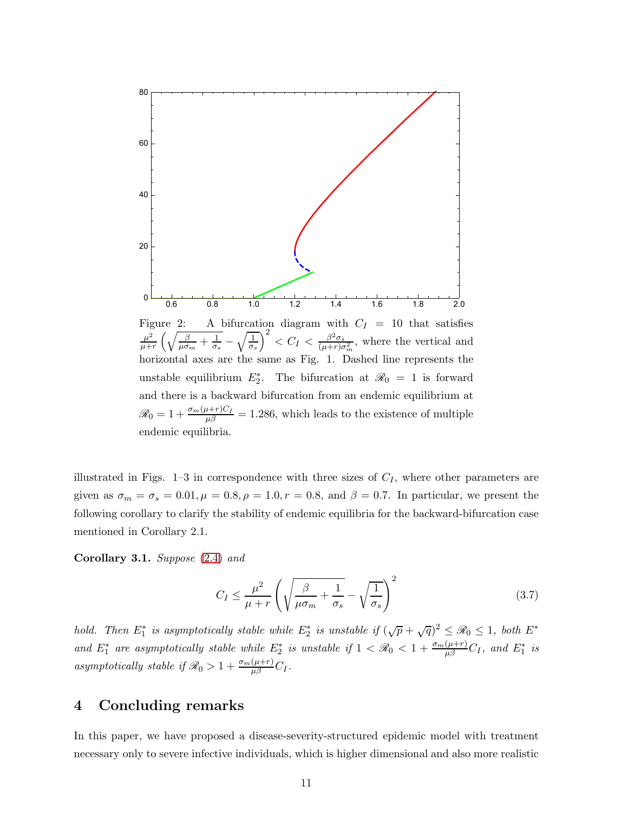

illustrated in Figs. 1–3 in correspondence with three sizes of  $C_I$ , where other parameters are given as  $\sigma_m = \sigma_s = 0.01, \mu = 0.8, \rho = 1.0, r = 0.8$ , and  $\beta = 0.7$ . In particular, we present the following corollary to clarify the stability of endemic equilibria for the backward-bifurcation case mentioned in Corollary 2.1.

Corollary 3.1. Suppose [\(2.4\)](#page-4-0) and

<span id="page-10-0"></span>
$$
C_I \le \frac{\mu^2}{\mu + r} \left( \sqrt{\frac{\beta}{\mu \sigma_m} + \frac{1}{\sigma_s}} - \sqrt{\frac{1}{\sigma_s}} \right)^2 \tag{3.7}
$$

hold. Then  $E_1^*$  is asymptotically stable while  $E_2^*$  is unstable if  $(\sqrt{p} + \sqrt{q})^2 \leq \mathcal{R}_0 \leq 1$ , both  $E^*$ and  $E_1^*$  are asymptotically stable while  $E_2^*$  is unstable if  $1 < \mathcal{R}_0 < 1 + \frac{\sigma_m(\mu+r)}{\mu\beta}C_I$ , and  $E_1^*$  is asymptotically stable if  $\mathscr{R}_0 > 1 + \frac{\sigma_m(\mu+r)}{\mu \beta} C_I$ .

## 4 Concluding remarks

In this paper, we have proposed a disease-severity-structured epidemic model with treatment necessary only to severe infective individuals, which is higher dimensional and also more realistic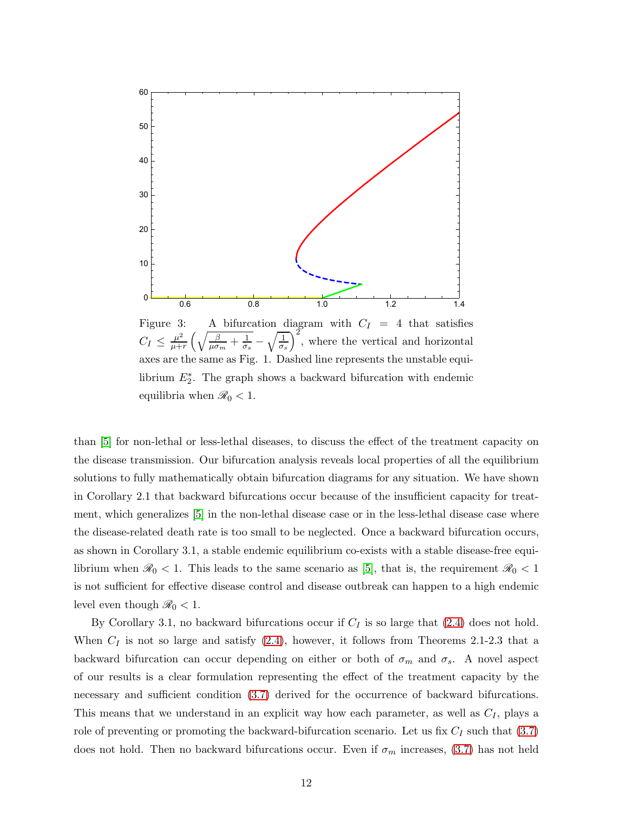

Figure 3: A bifurcation diagram with  $C_I = 4$  that satisfies  $C_I \leq \frac{\mu^2}{\mu + }$  $\frac{\mu^2}{\mu+r}\left(\sqrt{\frac{\beta}{\mu\sigma_m}+\frac{1}{\sigma_s}}\right)$  $\overline{\frac{1}{\sigma_s}} - \sqrt{\frac{1}{\sigma_s}}$ , where the vertical and horizontal axes are the same as Fig. 1. Dashed line represents the unstable equilibrium  $E_2^*$ . The graph shows a backward bifurcation with endemic equilibria when  $\mathcal{R}_0 < 1$ .

than [\[5\]](#page-12-1) for non-lethal or less-lethal diseases, to discuss the effect of the treatment capacity on the disease transmission. Our bifurcation analysis reveals local properties of all the equilibrium solutions to fully mathematically obtain bifurcation diagrams for any situation. We have shown in Corollary 2.1 that backward bifurcations occur because of the insufficient capacity for treatment, which generalizes [\[5\]](#page-12-1) in the non-lethal disease case or in the less-lethal disease case where the disease-related death rate is too small to be neglected. Once a backward bifurcation occurs, as shown in Corollary 3.1, a stable endemic equilibrium co-exists with a stable disease-free equilibrium when  $\mathcal{R}_0 < 1$ . This leads to the same scenario as [\[5\]](#page-12-1), that is, the requirement  $\mathcal{R}_0 < 1$ is not sufficient for effective disease control and disease outbreak can happen to a high endemic level even though  $\mathcal{R}_0 < 1$ .

By Corollary 3.1, no backward bifurcations occur if  $C_I$  is so large that [\(2.4\)](#page-4-0) does not hold. When  $C_I$  is not so large and satisfy  $(2.4)$ , however, it follows from Theorems 2.1-2.3 that a backward bifurcation can occur depending on either or both of  $\sigma_m$  and  $\sigma_s$ . A novel aspect of our results is a clear formulation representing the effect of the treatment capacity by the necessary and sufficient condition  $(3.7)$  derived for the occurrence of backward bifurcations. This means that we understand in an explicit way how each parameter, as well as  $C_I$ , plays a role of preventing or promoting the backward-bifurcation scenario. Let us fix  $C_I$  such that  $(3.7)$ does not hold. Then no backward bifurcations occur. Even if  $\sigma_m$  increases, [\(3.7\)](#page-10-0) has not held